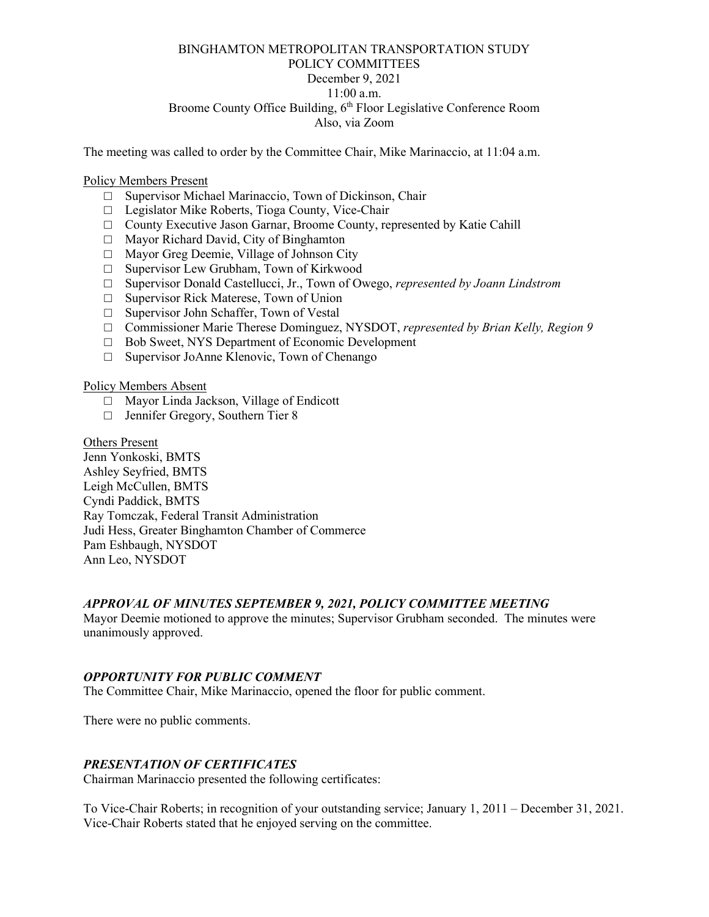# BINGHAMTON METROPOLITAN TRANSPORTATION STUDY POLICY COMMITTEES December 9, 2021 11:00 a.m. Broome County Office Building, 6<sup>th</sup> Floor Legislative Conference Room Also, via Zoom

The meeting was called to order by the Committee Chair, Mike Marinaccio, at 11:04 a.m.

#### Policy Members Present

- □ Supervisor Michael Marinaccio, Town of Dickinson, Chair
- □ Legislator Mike Roberts, Tioga County, Vice-Chair
- □ County Executive Jason Garnar, Broome County, represented by Katie Cahill
- □ Mayor Richard David, City of Binghamton
- □ Mayor Greg Deemie, Village of Johnson City
- □ Supervisor Lew Grubham, Town of Kirkwood
- □ Supervisor Donald Castellucci, Jr., Town of Owego, *represented by Joann Lindstrom*
- □ Supervisor Rick Materese, Town of Union
- □ Supervisor John Schaffer, Town of Vestal
- □ Commissioner Marie Therese Dominguez, NYSDOT, *represented by Brian Kelly, Region 9*
- □ Bob Sweet, NYS Department of Economic Development
- □ Supervisor JoAnne Klenovic, Town of Chenango

#### Policy Members Absent

- □ Mayor Linda Jackson, Village of Endicott
- □ Jennifer Gregory, Southern Tier 8

Others Present Jenn Yonkoski, BMTS Ashley Seyfried, BMTS Leigh McCullen, BMTS Cyndi Paddick, BMTS Ray Tomczak, Federal Transit Administration Judi Hess, Greater Binghamton Chamber of Commerce Pam Eshbaugh, NYSDOT Ann Leo, NYSDOT

### *APPROVAL OF MINUTES SEPTEMBER 9, 2021, POLICY COMMITTEE MEETING*

Mayor Deemie motioned to approve the minutes; Supervisor Grubham seconded. The minutes were unanimously approved.

#### *OPPORTUNITY FOR PUBLIC COMMENT*

The Committee Chair, Mike Marinaccio, opened the floor for public comment.

There were no public comments.

### *PRESENTATION OF CERTIFICATES*

Chairman Marinaccio presented the following certificates:

To Vice-Chair Roberts; in recognition of your outstanding service; January 1, 2011 – December 31, 2021. Vice-Chair Roberts stated that he enjoyed serving on the committee.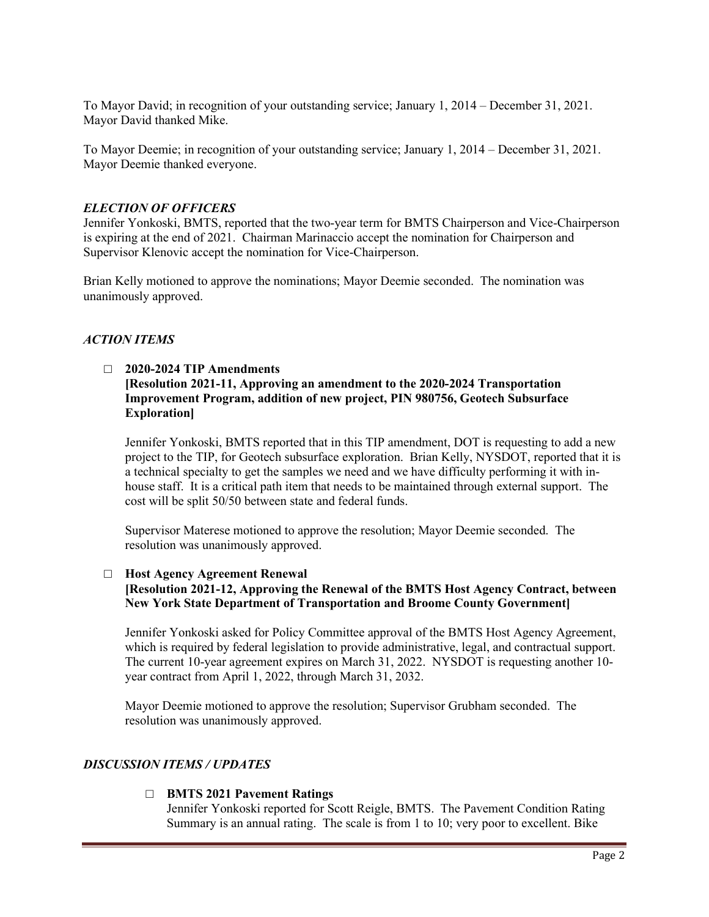To Mayor David; in recognition of your outstanding service; January 1, 2014 – December 31, 2021. Mayor David thanked Mike.

To Mayor Deemie; in recognition of your outstanding service; January 1, 2014 – December 31, 2021. Mayor Deemie thanked everyone.

# *ELECTION OF OFFICERS*

Jennifer Yonkoski, BMTS, reported that the two-year term for BMTS Chairperson and Vice-Chairperson is expiring at the end of 2021. Chairman Marinaccio accept the nomination for Chairperson and Supervisor Klenovic accept the nomination for Vice-Chairperson.

Brian Kelly motioned to approve the nominations; Mayor Deemie seconded. The nomination was unanimously approved.

# *ACTION ITEMS*

# □ **2020-2024 TIP Amendments [Resolution 2021-11, Approving an amendment to the 2020-2024 Transportation Improvement Program, addition of new project, PIN 980756, Geotech Subsurface Exploration]**

Jennifer Yonkoski, BMTS reported that in this TIP amendment, DOT is requesting to add a new project to the TIP, for Geotech subsurface exploration. Brian Kelly, NYSDOT, reported that it is a technical specialty to get the samples we need and we have difficulty performing it with inhouse staff. It is a critical path item that needs to be maintained through external support. The cost will be split 50/50 between state and federal funds.

Supervisor Materese motioned to approve the resolution; Mayor Deemie seconded. The resolution was unanimously approved.

# □ **Host Agency Agreement Renewal**

# **[Resolution 2021-12, Approving the Renewal of the BMTS Host Agency Contract, between New York State Department of Transportation and Broome County Government]**

Jennifer Yonkoski asked for Policy Committee approval of the BMTS Host Agency Agreement, which is required by federal legislation to provide administrative, legal, and contractual support. The current 10-year agreement expires on March 31, 2022. NYSDOT is requesting another 10 year contract from April 1, 2022, through March 31, 2032.

Mayor Deemie motioned to approve the resolution; Supervisor Grubham seconded. The resolution was unanimously approved.

# *DISCUSSION ITEMS / UPDATES*

# □ **BMTS 2021 Pavement Ratings**

Jennifer Yonkoski reported for Scott Reigle, BMTS. The Pavement Condition Rating Summary is an annual rating. The scale is from 1 to 10; very poor to excellent. Bike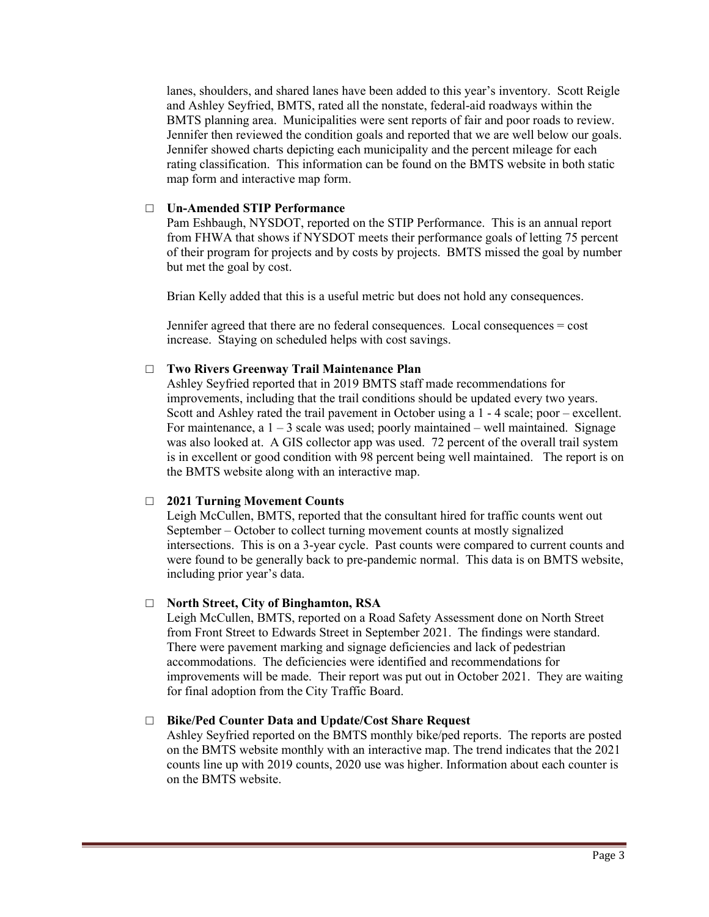lanes, shoulders, and shared lanes have been added to this year's inventory. Scott Reigle and Ashley Seyfried, BMTS, rated all the nonstate, federal-aid roadways within the BMTS planning area. Municipalities were sent reports of fair and poor roads to review. Jennifer then reviewed the condition goals and reported that we are well below our goals. Jennifer showed charts depicting each municipality and the percent mileage for each rating classification. This information can be found on the BMTS website in both static map form and interactive map form.

# □ **Un-Amended STIP Performance**

Pam Eshbaugh, NYSDOT, reported on the STIP Performance. This is an annual report from FHWA that shows if NYSDOT meets their performance goals of letting 75 percent of their program for projects and by costs by projects. BMTS missed the goal by number but met the goal by cost.

Brian Kelly added that this is a useful metric but does not hold any consequences.

Jennifer agreed that there are no federal consequences. Local consequences = cost increase. Staying on scheduled helps with cost savings.

### □ **Two Rivers Greenway Trail Maintenance Plan**

Ashley Seyfried reported that in 2019 BMTS staff made recommendations for improvements, including that the trail conditions should be updated every two years. Scott and Ashley rated the trail pavement in October using a 1 - 4 scale; poor – excellent. For maintenance, a  $1 - 3$  scale was used; poorly maintained – well maintained. Signage was also looked at. A GIS collector app was used. 72 percent of the overall trail system is in excellent or good condition with 98 percent being well maintained. The report is on the BMTS website along with an interactive map.

#### □ **2021 Turning Movement Counts**

Leigh McCullen, BMTS, reported that the consultant hired for traffic counts went out September – October to collect turning movement counts at mostly signalized intersections. This is on a 3-year cycle. Past counts were compared to current counts and were found to be generally back to pre-pandemic normal. This data is on BMTS website, including prior year's data.

### □ **North Street, City of Binghamton, RSA**

Leigh McCullen, BMTS, reported on a Road Safety Assessment done on North Street from Front Street to Edwards Street in September 2021. The findings were standard. There were pavement marking and signage deficiencies and lack of pedestrian accommodations. The deficiencies were identified and recommendations for improvements will be made. Their report was put out in October 2021. They are waiting for final adoption from the City Traffic Board.

### □ **Bike/Ped Counter Data and Update/Cost Share Request**

Ashley Seyfried reported on the BMTS monthly bike/ped reports. The reports are posted on the BMTS website monthly with an interactive map. The trend indicates that the 2021 counts line up with 2019 counts, 2020 use was higher. Information about each counter is on the BMTS website.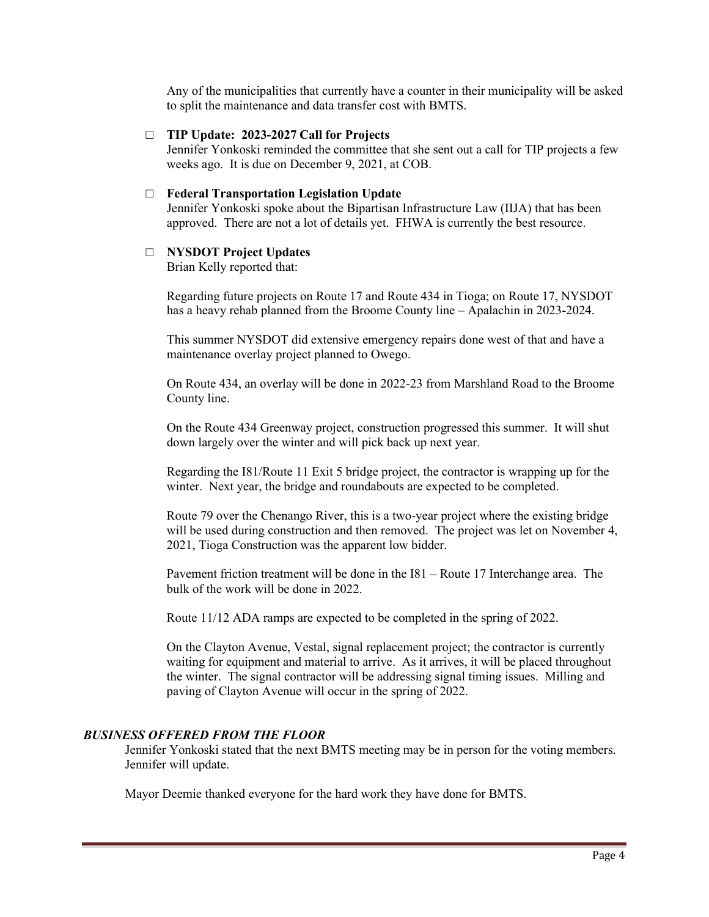Any of the municipalities that currently have a counter in their municipality will be asked to split the maintenance and data transfer cost with BMTS.

### □ **TIP Update: 2023-2027 Call for Projects**

Jennifer Yonkoski reminded the committee that she sent out a call for TIP projects a few weeks ago. It is due on December 9, 2021, at COB.

### □ **Federal Transportation Legislation Update**

Jennifer Yonkoski spoke about the Bipartisan Infrastructure Law (IIJA) that has been approved. There are not a lot of details yet. FHWA is currently the best resource.

#### □ **NYSDOT Project Updates**

Brian Kelly reported that:

Regarding future projects on Route 17 and Route 434 in Tioga; on Route 17, NYSDOT has a heavy rehab planned from the Broome County line – Apalachin in 2023-2024.

This summer NYSDOT did extensive emergency repairs done west of that and have a maintenance overlay project planned to Owego.

On Route 434, an overlay will be done in 2022-23 from Marshland Road to the Broome County line.

On the Route 434 Greenway project, construction progressed this summer. It will shut down largely over the winter and will pick back up next year.

Regarding the I81/Route 11 Exit 5 bridge project, the contractor is wrapping up for the winter. Next year, the bridge and roundabouts are expected to be completed.

Route 79 over the Chenango River, this is a two-year project where the existing bridge will be used during construction and then removed. The project was let on November 4, 2021, Tioga Construction was the apparent low bidder.

Pavement friction treatment will be done in the I81 – Route 17 Interchange area. The bulk of the work will be done in 2022.

Route 11/12 ADA ramps are expected to be completed in the spring of 2022.

On the Clayton Avenue, Vestal, signal replacement project; the contractor is currently waiting for equipment and material to arrive. As it arrives, it will be placed throughout the winter. The signal contractor will be addressing signal timing issues. Milling and paving of Clayton Avenue will occur in the spring of 2022.

#### *BUSINESS OFFERED FROM THE FLOOR*

Jennifer Yonkoski stated that the next BMTS meeting may be in person for the voting members. Jennifer will update.

Mayor Deemie thanked everyone for the hard work they have done for BMTS.